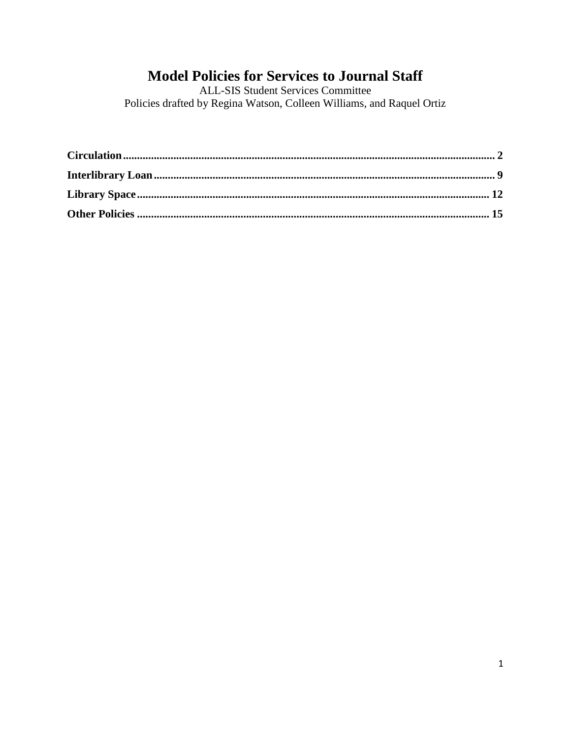# **Model Policies for Services to Journal Staff**

**ALL-SIS Student Services Committee** Policies drafted by Regina Watson, Colleen Williams, and Raquel Ortiz

<span id="page-0-0"></span>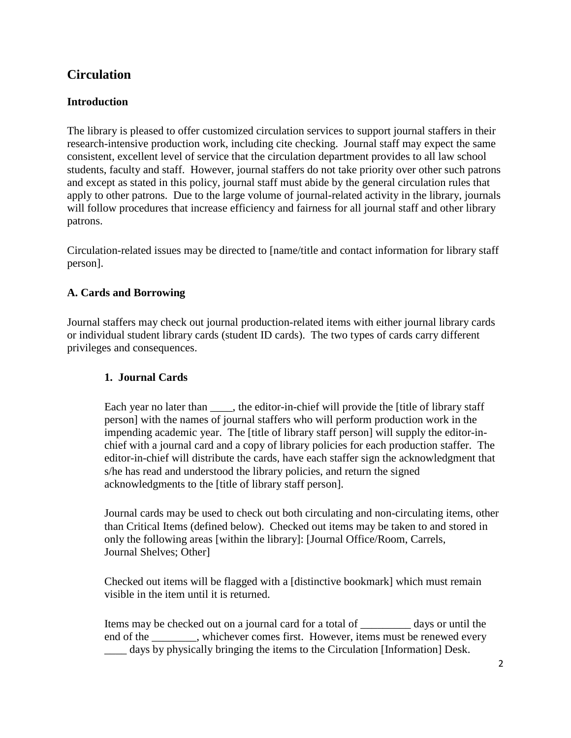# **Circulation**

# **Introduction**

The library is pleased to offer customized circulation services to support journal staffers in their research-intensive production work, including cite checking. Journal staff may expect the same consistent, excellent level of service that the circulation department provides to all law school students, faculty and staff. However, journal staffers do not take priority over other such patrons and except as stated in this policy, journal staff must abide by the general circulation rules that apply to other patrons. Due to the large volume of journal-related activity in the library, journals will follow procedures that increase efficiency and fairness for all journal staff and other library patrons.

Circulation-related issues may be directed to [name/title and contact information for library staff person].

#### **A. Cards and Borrowing**

Journal staffers may check out journal production-related items with either journal library cards or individual student library cards (student ID cards). The two types of cards carry different privileges and consequences.

#### **1. Journal Cards**

Each year no later than \_\_\_\_, the editor-in-chief will provide the [title of library staff person] with the names of journal staffers who will perform production work in the impending academic year. The [title of library staff person] will supply the editor-inchief with a journal card and a copy of library policies for each production staffer. The editor-in-chief will distribute the cards, have each staffer sign the acknowledgment that s/he has read and understood the library policies, and return the signed acknowledgments to the [title of library staff person].

Journal cards may be used to check out both circulating and non-circulating items, other than Critical Items (defined below). Checked out items may be taken to and stored in only the following areas [within the library]: [Journal Office/Room, Carrels, Journal Shelves; Other]

Checked out items will be flagged with a [distinctive bookmark] which must remain visible in the item until it is returned.

Items may be checked out on a journal card for a total of \_\_\_\_\_\_\_\_\_ days or until the end of the \_\_\_\_\_\_\_\_, whichever comes first. However, items must be renewed every \_\_\_\_ days by physically bringing the items to the Circulation [Information] Desk.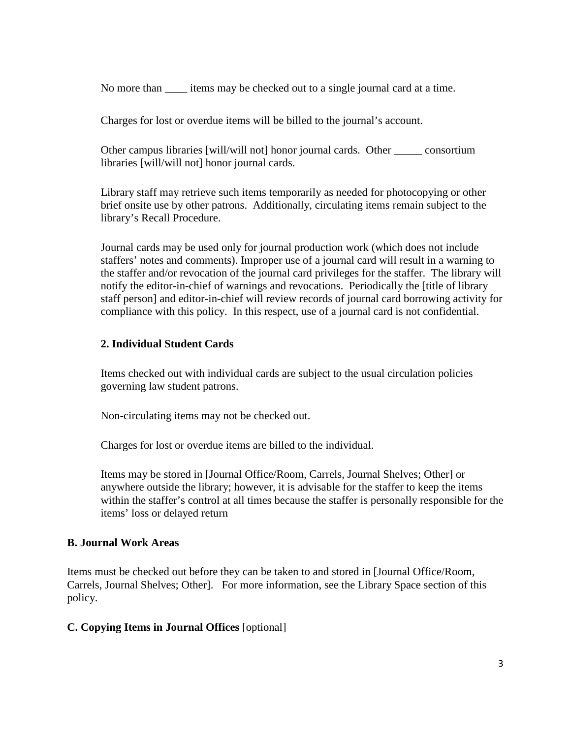No more than \_\_\_\_ items may be checked out to a single journal card at a time.

Charges for lost or overdue items will be billed to the journal's account.

Other campus libraries [will/will not] honor journal cards. Other \_\_\_\_\_ consortium libraries [will/will not] honor journal cards.

Library staff may retrieve such items temporarily as needed for photocopying or other brief onsite use by other patrons. Additionally, circulating items remain subject to the library's Recall Procedure.

Journal cards may be used only for journal production work (which does not include staffers' notes and comments). Improper use of a journal card will result in a warning to the staffer and/or revocation of the journal card privileges for the staffer. The library will notify the editor-in-chief of warnings and revocations. Periodically the [title of library staff person] and editor-in-chief will review records of journal card borrowing activity for compliance with this policy. In this respect, use of a journal card is not confidential.

#### **2. Individual Student Cards**

Items checked out with individual cards are subject to the usual circulation policies governing law student patrons.

Non-circulating items may not be checked out.

Charges for lost or overdue items are billed to the individual.

Items may be stored in [Journal Office/Room, Carrels, Journal Shelves; Other] or anywhere outside the library; however, it is advisable for the staffer to keep the items within the staffer's control at all times because the staffer is personally responsible for the items' loss or delayed return

#### **B. Journal Work Areas**

Items must be checked out before they can be taken to and stored in [Journal Office/Room, Carrels, Journal Shelves; Other]. For more information, see the Library Space section of this policy.

#### **C. Copying Items in Journal Offices** [optional]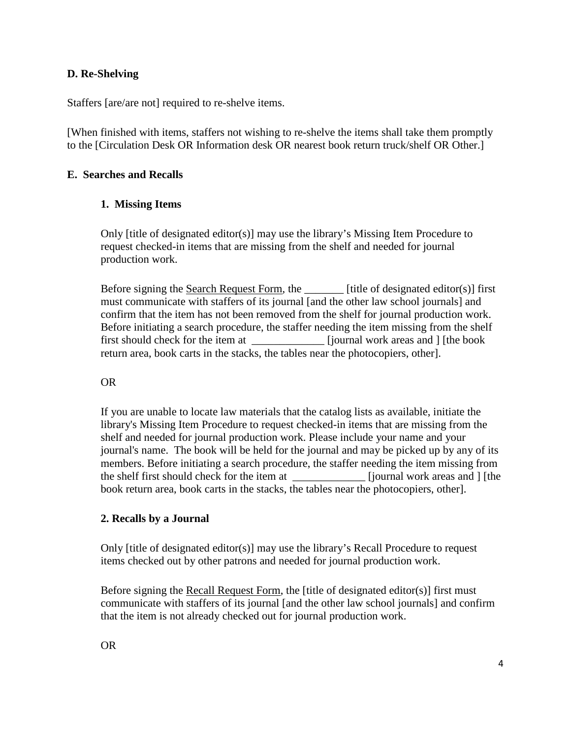#### **D. Re-Shelving**

Staffers [are/are not] required to re-shelve items.

[When finished with items, staffers not wishing to re-shelve the items shall take them promptly to the [Circulation Desk OR Information desk OR nearest book return truck/shelf OR Other.]

#### **E. Searches and Recalls**

#### **1. Missing Items**

Only [title of designated editor(s)] may use the library's Missing Item Procedure to request checked-in items that are missing from the shelf and needed for journal production work.

Before signing the Search Request Form, the \_\_\_\_\_\_\_ [title of designated editor(s)] first must communicate with staffers of its journal [and the other law school journals] and confirm that the item has not been removed from the shelf for journal production work. Before initiating a search procedure, the staffer needing the item missing from the shelf first should check for the item at \_\_\_\_\_\_\_\_\_\_\_\_\_ [journal work areas and ] [the book return area, book carts in the stacks, the tables near the photocopiers, other].

#### OR

If you are unable to locate law materials that the catalog lists as available, initiate the library's Missing Item Procedure to request checked-in items that are missing from the shelf and needed for journal production work. Please include your name and your journal's name. The book will be held for the journal and may be picked up by any of its members. Before initiating a search procedure, the staffer needing the item missing from the shelf first should check for the item at \_\_\_\_\_\_\_\_\_\_\_\_\_ [journal work areas and ] [the book return area, book carts in the stacks, the tables near the photocopiers, other].

#### **2. Recalls by a Journal**

Only [title of designated editor(s)] may use the library's Recall Procedure to request items checked out by other patrons and needed for journal production work.

Before signing the Recall Request Form, the [title of designated editor(s)] first must communicate with staffers of its journal [and the other law school journals] and confirm that the item is not already checked out for journal production work.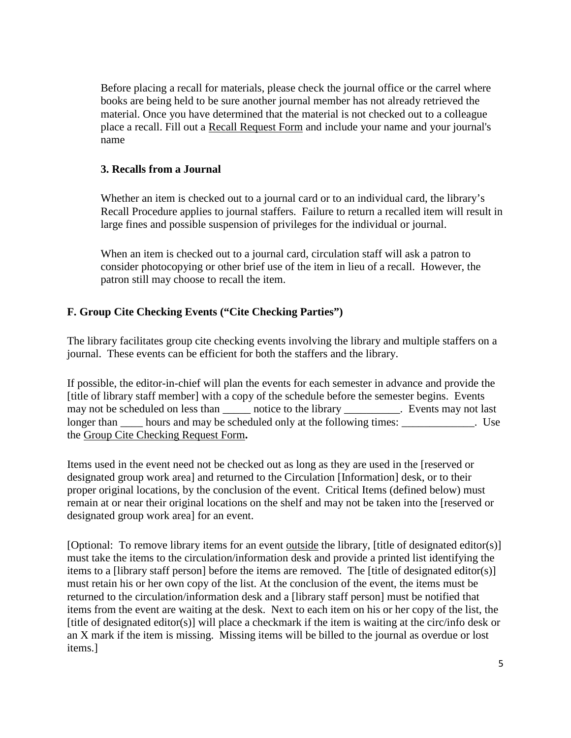Before placing a recall for materials, please check the journal office or the carrel where books are being held to be sure another journal member has not already retrieved the material. Once you have determined that the material is not checked out to a colleague place a recall. Fill out a Recall Request Form and include your name and your journal's name

## **3. Recalls from a Journal**

Whether an item is checked out to a journal card or to an individual card, the library's Recall Procedure applies to journal staffers. Failure to return a recalled item will result in large fines and possible suspension of privileges for the individual or journal.

When an item is checked out to a journal card, circulation staff will ask a patron to consider photocopying or other brief use of the item in lieu of a recall. However, the patron still may choose to recall the item.

# **F. Group Cite Checking Events ("Cite Checking Parties")**

The library facilitates group cite checking events involving the library and multiple staffers on a journal. These events can be efficient for both the staffers and the library.

If possible, the editor-in-chief will plan the events for each semester in advance and provide the [title of library staff member] with a copy of the schedule before the semester begins. Events may not be scheduled on less than \_\_\_\_\_\_ notice to the library \_\_\_\_\_\_\_\_\_\_. Events may not last longer than hours and may be scheduled only at the following times: Use the Group Cite Checking Request Form**.**

Items used in the event need not be checked out as long as they are used in the [reserved or designated group work area] and returned to the Circulation [Information] desk, or to their proper original locations, by the conclusion of the event. Critical Items (defined below) must remain at or near their original locations on the shelf and may not be taken into the [reserved or designated group work area] for an event.

[Optional: To remove library items for an event outside the library, [title of designated editor(s)] must take the items to the circulation/information desk and provide a printed list identifying the items to a [library staff person] before the items are removed. The [title of designated editor(s)] must retain his or her own copy of the list. At the conclusion of the event, the items must be returned to the circulation/information desk and a [library staff person] must be notified that items from the event are waiting at the desk. Next to each item on his or her copy of the list, the [title of designated editor(s)] will place a checkmark if the item is waiting at the circ/info desk or an X mark if the item is missing. Missing items will be billed to the journal as overdue or lost items.]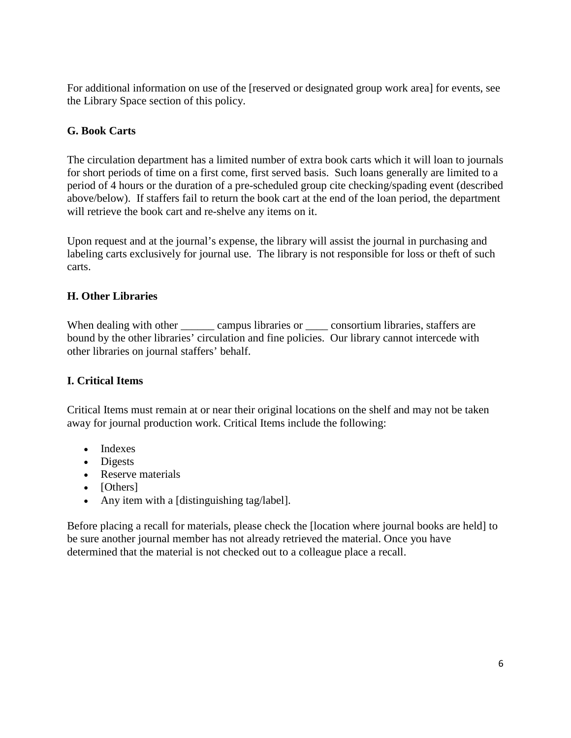For additional information on use of the [reserved or designated group work area] for events, see the Library Space section of this policy.

## **G. Book Carts**

The circulation department has a limited number of extra book carts which it will loan to journals for short periods of time on a first come, first served basis. Such loans generally are limited to a period of 4 hours or the duration of a pre-scheduled group cite checking/spading event (described above/below). If staffers fail to return the book cart at the end of the loan period, the department will retrieve the book cart and re-shelve any items on it.

Upon request and at the journal's expense, the library will assist the journal in purchasing and labeling carts exclusively for journal use. The library is not responsible for loss or theft of such carts.

#### **H. Other Libraries**

When dealing with other campus libraries or consortium libraries, staffers are bound by the other libraries' circulation and fine policies. Our library cannot intercede with other libraries on journal staffers' behalf.

#### **I. Critical Items**

Critical Items must remain at or near their original locations on the shelf and may not be taken away for journal production work. Critical Items include the following:

- Indexes
- Digests
- Reserve materials
- [Others]
- Any item with a [distinguishing tag/label].

Before placing a recall for materials, please check the [location where journal books are held] to be sure another journal member has not already retrieved the material. Once you have determined that the material is not checked out to a colleague place a recall.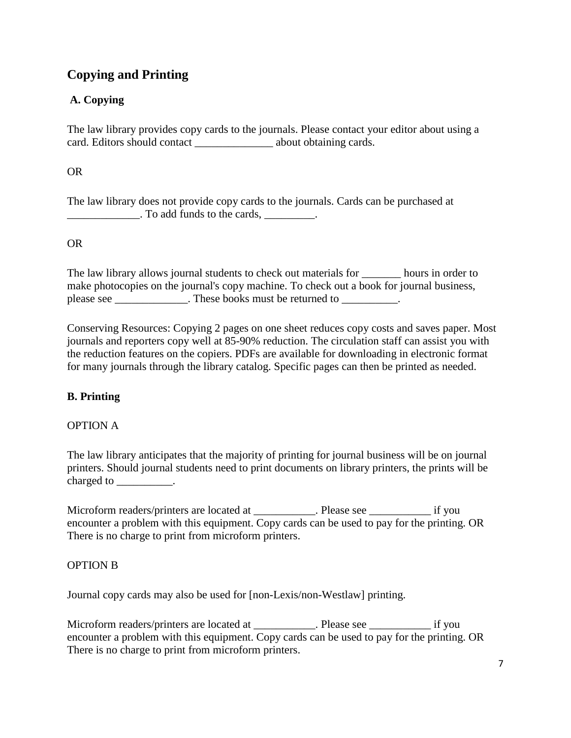# **Copying and Printing**

# **A. Copying**

The law library provides copy cards to the journals. Please contact your editor about using a card. Editors should contact \_\_\_\_\_\_\_\_\_\_\_\_\_\_ about obtaining cards.

OR

The law library does not provide copy cards to the journals. Cards can be purchased at  $\frac{1}{\sqrt{1-\frac{1}{2}}}\$ . To add funds to the cards,  $\frac{1}{\sqrt{1-\frac{1}{2}}}\$ .

# OR

The law library allows journal students to check out materials for hours in order to make photocopies on the journal's copy machine. To check out a book for journal business, please see \_\_\_\_\_\_\_\_\_\_\_\_\_\_. These books must be returned to \_\_\_\_\_\_\_\_\_\_.

Conserving Resources: Copying 2 pages on one sheet reduces copy costs and saves paper. Most journals and reporters copy well at 85-90% reduction. The circulation staff can assist you with the reduction features on the copiers. PDFs are available for downloading in electronic format for many journals through the library catalog. Specific pages can then be printed as needed.

# **B. Printing**

#### OPTION A

The law library anticipates that the majority of printing for journal business will be on journal printers. Should journal students need to print documents on library printers, the prints will be charged to  $\_\_\_\_\_\_\_\_\$ .

Microform readers/printers are located at \_\_\_\_\_\_\_\_\_\_. Please see \_\_\_\_\_\_\_\_\_\_\_\_\_\_\_\_ if you encounter a problem with this equipment. Copy cards can be used to pay for the printing. OR There is no charge to print from microform printers.

#### OPTION B

Journal copy cards may also be used for [non-Lexis/non-Westlaw] printing.

Microform readers/printers are located at \_\_\_\_\_\_\_\_\_\_\_. Please see \_\_\_\_\_\_\_\_\_\_\_\_\_ if you encounter a problem with this equipment. Copy cards can be used to pay for the printing. OR There is no charge to print from microform printers.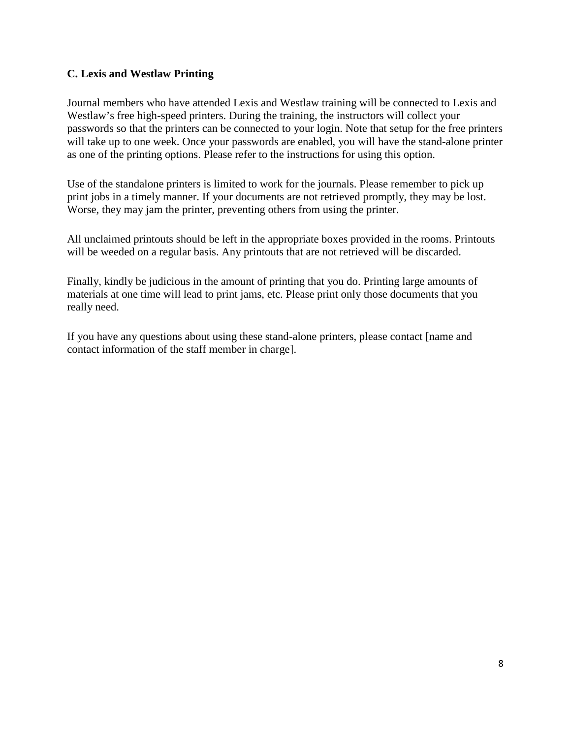#### **C. Lexis and Westlaw Printing**

Journal members who have attended Lexis and Westlaw training will be connected to Lexis and Westlaw's free high-speed printers. During the training, the instructors will collect your passwords so that the printers can be connected to your login. Note that setup for the free printers will take up to one week. Once your passwords are enabled, you will have the stand-alone printer as one of the printing options. Please refer to the instructions for using this option.

Use of the standalone printers is limited to work for the journals. Please remember to pick up print jobs in a timely manner. If your documents are not retrieved promptly, they may be lost. Worse, they may jam the printer, preventing others from using the printer.

All unclaimed printouts should be left in the appropriate boxes provided in the rooms. Printouts will be weeded on a regular basis. Any printouts that are not retrieved will be discarded.

Finally, kindly be judicious in the amount of printing that you do. Printing large amounts of materials at one time will lead to print jams, etc. Please print only those documents that you really need.

If you have any questions about using these stand-alone printers, please contact [name and contact information of the staff member in charge].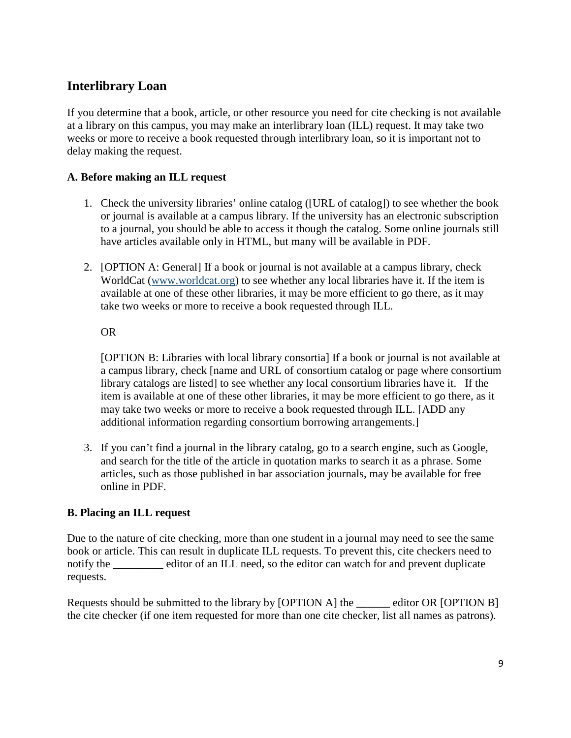# <span id="page-8-0"></span>**Interlibrary Loan**

If you determine that a book, article, or other resource you need for cite checking is not available at a library on this campus, you may make an interlibrary loan (ILL) request. It may take two weeks or more to receive a book requested through interlibrary loan, so it is important not to delay making the request.

# **A. Before making an ILL request**

- 1. Check the university libraries' online catalog ([URL of catalog]) to see whether the book or journal is available at a campus library. If the university has an electronic subscription to a journal, you should be able to access it though the catalog. Some online journals still have articles available only in HTML, but many will be available in PDF.
- 2. [OPTION A: General] If a book or journal is not available at a campus library, check WorldCat [\(www.worldcat.org\)](http://www.worldcat.org/) to see whether any local libraries have it. If the item is available at one of these other libraries, it may be more efficient to go there, as it may take two weeks or more to receive a book requested through ILL.

OR

[OPTION B: Libraries with local library consortia] If a book or journal is not available at a campus library, check [name and URL of consortium catalog or page where consortium library catalogs are listed] to see whether any local consortium libraries have it. If the item is available at one of these other libraries, it may be more efficient to go there, as it may take two weeks or more to receive a book requested through ILL. [ADD any additional information regarding consortium borrowing arrangements.]

3. If you can't find a journal in the library catalog, go to a search engine, such as Google, and search for the title of the article in quotation marks to search it as a phrase. Some articles, such as those published in bar association journals, may be available for free online in PDF.

#### **B. Placing an ILL request**

Due to the nature of cite checking, more than one student in a journal may need to see the same book or article. This can result in duplicate ILL requests. To prevent this, cite checkers need to notify the editor of an ILL need, so the editor can watch for and prevent duplicate requests.

Requests should be submitted to the library by [OPTION A] the \_\_\_\_\_\_ editor OR [OPTION B] the cite checker (if one item requested for more than one cite checker, list all names as patrons).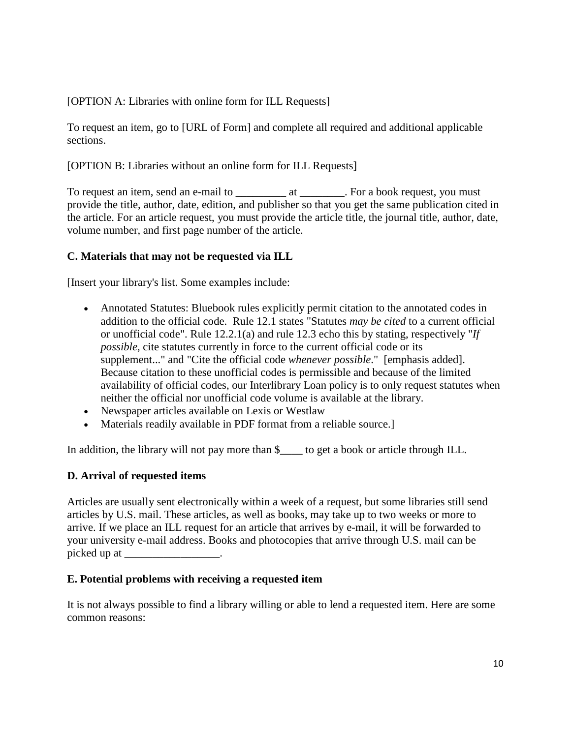[OPTION A: Libraries with online form for ILL Requests]

To request an item, go to [URL of Form] and complete all required and additional applicable sections.

[OPTION B: Libraries without an online form for ILL Requests]

To request an item, send an e-mail to \_\_\_\_\_\_\_\_\_\_\_\_\_\_\_\_\_\_\_\_\_\_\_\_. For a book request, you must provide the title, author, date, edition, and publisher so that you get the same publication cited in the article. For an article request, you must provide the article title, the journal title, author, date, volume number, and first page number of the article.

# **C. Materials that may not be requested via ILL**

[Insert your library's list. Some examples include:

- Annotated Statutes: Bluebook rules explicitly permit citation to the annotated codes in addition to the official code. Rule 12.1 states "Statutes *may be cited* to a current official or unofficial code". Rule 12.2.1(a) and rule 12.3 echo this by stating, respectively "*If possible*, cite statutes currently in force to the current official code or its supplement..." and "Cite the official code *whenever possible*." [emphasis added]. Because citation to these unofficial codes is permissible and because of the limited availability of official codes, our Interlibrary Loan policy is to only request statutes when neither the official nor unofficial code volume is available at the library.
- Newspaper articles available on Lexis or Westlaw
- Materials readily available in PDF format from a reliable source.]

In addition, the library will not pay more than \$\_\_\_\_ to get a book or article through ILL.

#### **D. Arrival of requested items**

Articles are usually sent electronically within a week of a request, but some libraries still send articles by U.S. mail. These articles, as well as books, may take up to two weeks or more to arrive. If we place an ILL request for an article that arrives by e-mail, it will be forwarded to your university e-mail address. Books and photocopies that arrive through U.S. mail can be picked up at \_\_\_\_\_\_\_\_\_\_\_\_\_\_\_\_\_\_.

#### **E. Potential problems with receiving a requested item**

It is not always possible to find a library willing or able to lend a requested item. Here are some common reasons: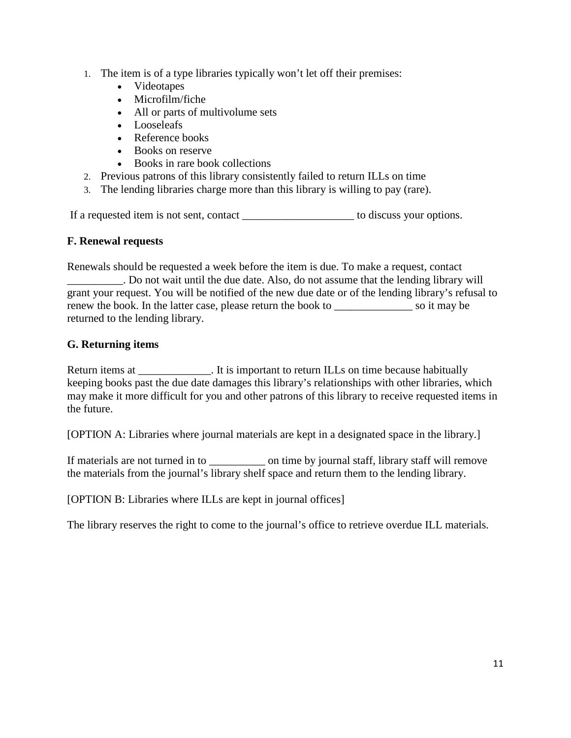- 1. The item is of a type libraries typically won't let off their premises:
	- Videotapes
	- Microfilm/fiche
	- All or parts of multivolume sets
	- Looseleafs
	- Reference books
	- Books on reserve
	- Books in rare book collections
- 2. Previous patrons of this library consistently failed to return ILLs on time
- 3. The lending libraries charge more than this library is willing to pay (rare).

If a requested item is not sent, contact \_\_\_\_\_\_\_\_\_\_\_\_\_\_\_\_\_\_\_\_ to discuss your options.

#### **F. Renewal requests**

Renewals should be requested a week before the item is due. To make a request, contact \_\_\_\_\_\_\_\_\_\_. Do not wait until the due date. Also, do not assume that the lending library will grant your request. You will be notified of the new due date or of the lending library's refusal to renew the book. In the latter case, please return the book to social solution is so it may be returned to the lending library.

# **G. Returning items**

Return items at The state of the is important to return ILLs on time because habitually keeping books past the due date damages this library's relationships with other libraries, which may make it more difficult for you and other patrons of this library to receive requested items in the future.

[OPTION A: Libraries where journal materials are kept in a designated space in the library.]

If materials are not turned in to \_\_\_\_\_\_\_\_\_\_\_\_\_\_\_\_ on time by journal staff, library staff will remove the materials from the journal's library shelf space and return them to the lending library.

[OPTION B: Libraries where ILLs are kept in journal offices]

The library reserves the right to come to the journal's office to retrieve overdue ILL materials.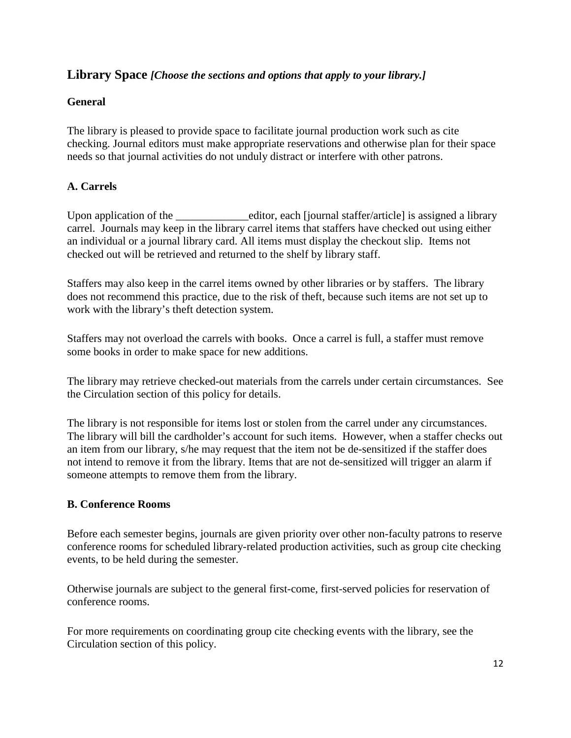# <span id="page-11-0"></span>**Library Space** *[Choose the sections and options that apply to your library.]*

#### **General**

The library is pleased to provide space to facilitate journal production work such as cite checking. Journal editors must make appropriate reservations and otherwise plan for their space needs so that journal activities do not unduly distract or interfere with other patrons.

# **A. Carrels**

Upon application of the \_\_\_\_\_\_\_\_\_\_\_\_\_\_\_\_\_editor, each [journal staffer/article] is assigned a library carrel. Journals may keep in the library carrel items that staffers have checked out using either an individual or a journal library card. All items must display the checkout slip. Items not checked out will be retrieved and returned to the shelf by library staff.

Staffers may also keep in the carrel items owned by other libraries or by staffers. The library does not recommend this practice, due to the risk of theft, because such items are not set up to work with the library's theft detection system.

Staffers may not overload the carrels with books. Once a carrel is full, a staffer must remove some books in order to make space for new additions.

The library may retrieve checked-out materials from the carrels under certain circumstances. See the Circulation section of this policy for details.

The library is not responsible for items lost or stolen from the carrel under any circumstances. The library will bill the cardholder's account for such items. However, when a staffer checks out an item from our library, s/he may request that the item not be de-sensitized if the staffer does not intend to remove it from the library. Items that are not de-sensitized will trigger an alarm if someone attempts to remove them from the library.

#### **B. Conference Rooms**

Before each semester begins, journals are given priority over other non-faculty patrons to reserve conference rooms for scheduled library-related production activities, such as group cite checking events, to be held during the semester.

Otherwise journals are subject to the general first-come, first-served policies for reservation of conference rooms.

For more requirements on coordinating group cite checking events with the library, see the Circulation section of this policy.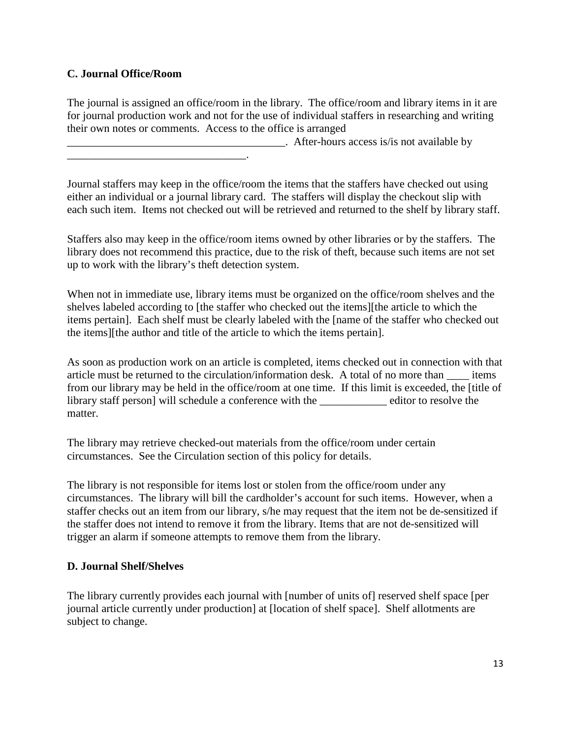# **C. Journal Office/Room**

\_\_\_\_\_\_\_\_\_\_\_\_\_\_\_\_\_\_\_\_\_\_\_\_\_\_\_\_\_\_\_\_.

The journal is assigned an office/room in the library. The office/room and library items in it are for journal production work and not for the use of individual staffers in researching and writing their own notes or comments. Access to the office is arranged

 $\Box$  After-hours access is/is not available by

Journal staffers may keep in the office/room the items that the staffers have checked out using either an individual or a journal library card. The staffers will display the checkout slip with each such item. Items not checked out will be retrieved and returned to the shelf by library staff.

Staffers also may keep in the office/room items owned by other libraries or by the staffers. The library does not recommend this practice, due to the risk of theft, because such items are not set up to work with the library's theft detection system.

When not in immediate use, library items must be organized on the office/room shelves and the shelves labeled according to [the staffer who checked out the items][the article to which the items pertain]. Each shelf must be clearly labeled with the [name of the staffer who checked out the items][the author and title of the article to which the items pertain].

As soon as production work on an article is completed, items checked out in connection with that article must be returned to the circulation/information desk. A total of no more than \_\_\_\_ items from our library may be held in the office/room at one time. If this limit is exceeded, the [title of library staff person] will schedule a conference with the \_\_\_\_\_\_\_\_\_\_\_\_ editor to resolve the matter.

The library may retrieve checked-out materials from the office/room under certain circumstances. See the Circulation section of this policy for details.

The library is not responsible for items lost or stolen from the office/room under any circumstances. The library will bill the cardholder's account for such items. However, when a staffer checks out an item from our library, s/he may request that the item not be de-sensitized if the staffer does not intend to remove it from the library. Items that are not de-sensitized will trigger an alarm if someone attempts to remove them from the library.

#### **D. Journal Shelf/Shelves**

The library currently provides each journal with [number of units of] reserved shelf space [per journal article currently under production] at [location of shelf space]. Shelf allotments are subject to change.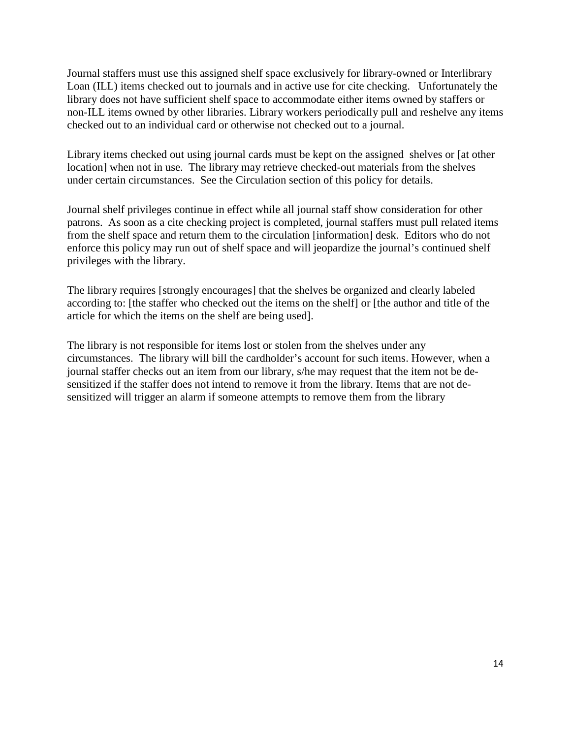Journal staffers must use this assigned shelf space exclusively for library-owned or Interlibrary Loan (ILL) items checked out to journals and in active use for cite checking. Unfortunately the library does not have sufficient shelf space to accommodate either items owned by staffers or non-ILL items owned by other libraries. Library workers periodically pull and reshelve any items checked out to an individual card or otherwise not checked out to a journal.

Library items checked out using journal cards must be kept on the assigned shelves or [at other location] when not in use. The library may retrieve checked-out materials from the shelves under certain circumstances. See the Circulation section of this policy for details.

Journal shelf privileges continue in effect while all journal staff show consideration for other patrons. As soon as a cite checking project is completed, journal staffers must pull related items from the shelf space and return them to the circulation [information] desk. Editors who do not enforce this policy may run out of shelf space and will jeopardize the journal's continued shelf privileges with the library.

The library requires [strongly encourages] that the shelves be organized and clearly labeled according to: [the staffer who checked out the items on the shelf] or [the author and title of the article for which the items on the shelf are being used].

The library is not responsible for items lost or stolen from the shelves under any circumstances. The library will bill the cardholder's account for such items. However, when a journal staffer checks out an item from our library, s/he may request that the item not be desensitized if the staffer does not intend to remove it from the library. Items that are not desensitized will trigger an alarm if someone attempts to remove them from the library